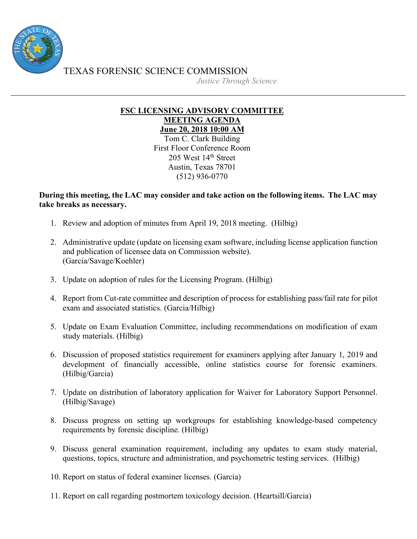

TEXAS FORENSIC SCIENCE COMMISSION

*Justice Through Science*

## **FSC LICENSING ADVISORY COMMITTEE MEETING AGENDA June 20, 2018 10:00 AM**

Tom C. Clark Building First Floor Conference Room 205 West 14th Street Austin, Texas 78701 (512) 936-0770

## **During this meeting, the LAC may consider and take action on the following items. The LAC may take breaks as necessary.**

- 1. Review and adoption of minutes from April 19, 2018 meeting. (Hilbig)
- 2. Administrative update (update on licensing exam software, including license application function and publication of licensee data on Commission website). (Garcia/Savage/Koehler)
- 3. Update on adoption of rules for the Licensing Program. (Hilbig)
- 4. Report from Cut-rate committee and description of process for establishing pass/fail rate for pilot exam and associated statistics. (Garcia/Hilbig)
- 5. Update on Exam Evaluation Committee, including recommendations on modification of exam study materials. (Hilbig)
- 6. Discussion of proposed statistics requirement for examiners applying after January 1, 2019 and development of financially accessible, online statistics course for forensic examiners. (Hilbig/Garcia)
- 7. Update on distribution of laboratory application for Waiver for Laboratory Support Personnel. (Hilbig/Savage)
- 8. Discuss progress on setting up workgroups for establishing knowledge-based competency requirements by forensic discipline. (Hilbig)
- 9. Discuss general examination requirement, including any updates to exam study material, questions, topics, structure and administration, and psychometric testing services. (Hilbig)
- 10. Report on status of federal examiner licenses. (Garcia)
- 11. Report on call regarding postmortem toxicology decision. (Heartsill/Garcia)